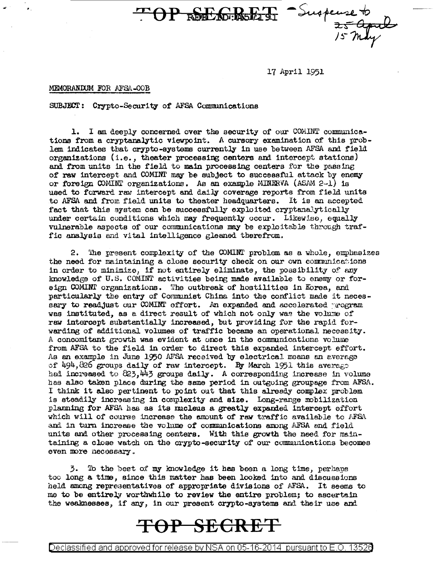TOP REELEMENT Suspense to

17 April 1951

## MEMORANDUM FOR AFSA-OOB

SUBJECT: Crypto-Security of AFSA Communications

1. I am deeply concerned over the security of our COMINT communications from a cryptanalytic viewpoint. A cursory examination of this problem indicates that crypto-systems currently in use between AFSA and field organizations (i.e., theater processing centers and intercept stations) and from units in the field to main processing centers for the passing of raw intercept and COMINT may be subject to successful attack by enemy or foreign COMINT organizations. As an example MINERVA (ASAM 2-1) is used to forward raw intercept and daily coverage reports from field units to AFSA and from field units to theater headquarters. It is an accepted fact that this system can be successfully exploited cryptanalytically under certain conditions which may frequently occur. Likewise, equally vulnerable aspects of our communications may be exploitable through traffic analysis and vital intelligence gleaned therefrom.

The present complexity of the COMINT problem as a whole, emphasizes 2. the need for maintaining a close security check on our own communications in order to minimize, if not entirely eliminate, the possibility of any knowledge of U.S. COMINT activities being made available to enemy or foreign COMINT organizations. The outbreak of hostilities in Korea, and particularly the entry of Communist China into the conflict made it necessary to readjust our COMINT effort. An expanded and accelerated program was instituted, as a direct result of which not only was the volume of raw intercept substantially increased, but providing for the rapid forwarding of additional volumes of traffic became an operational necessity. A concomitant growth was evident at once in the communications volume from AFSA to the field in order to direct this expanded intercept effort. As an example in June 1950 AFSA received by electrical means an average of 494,826 groups daily of raw intercept. By March 1951 this average had increased to 823,443 groups daily. A corresponding increase in volume has also taken place during the same period in outgoing groupage from AFSA. I think it also pertinent to point out that this already complex problem is steadily increasing in complexity and size. Long-range mobilization planning for AFSA has as its mucleus a greatly expanded intercept effort which will of course increase the amount of raw traffic available to AFSA and in turn increase the volume of communications among AFSA and field units and other processing centers. With this growth the need for maintaining a close watch on the crypto-security of our communications becomes even more necessary.

3. To the best of my knowledge it has been a long time, perhaps too long a time, since this matter has been looked into and discussions held among representatives of appropriate divisions of AFSA. It seems to me to be entirely worthwhile to review the entire problem; to ascertain the weaknesses, if any, in our present crypto-systems and their use and

## TOP SECRET

Declassified and approved for release by NSA on 05-16-2014 pursuant to E.O. 13526